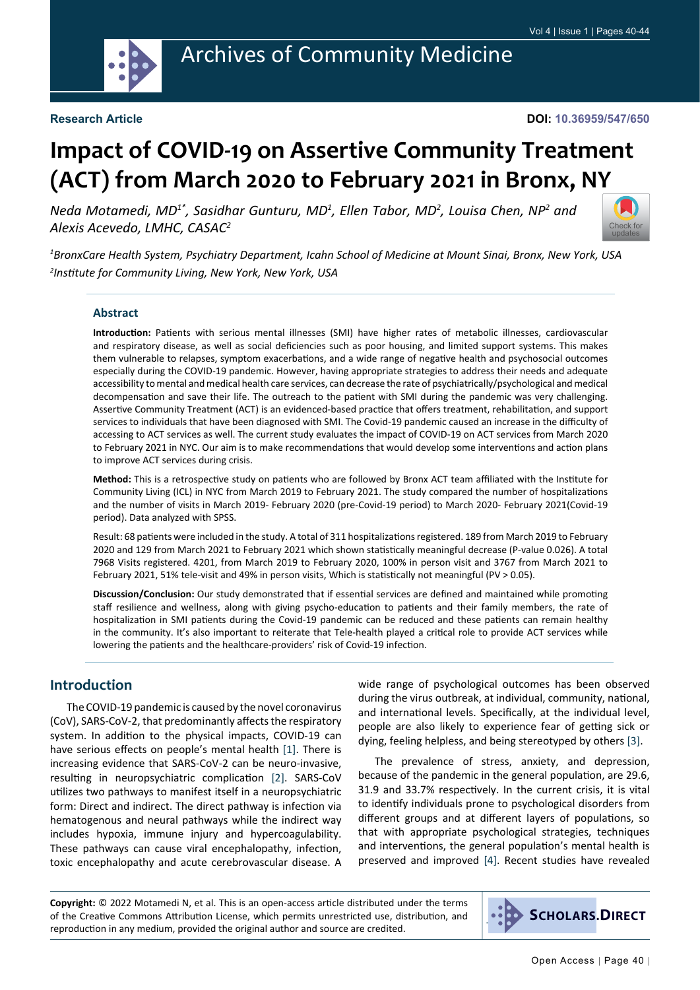

#### **DOI: 10.36959/547/650**

# **Impact of COVID-19 on Assertive Community Treatment (ACT) from March 2020 to February 2021 in Bronx, NY**

Neda Motamedi, MD<sup>1\*</sup>, Sasidhar Gunturu, MD<sup>1</sup>, Ellen Tabor, MD<sup>2</sup>, Louisa Chen, NP<sup>2</sup> and *Alexis Acevedo, LMHC, CASAC2*



*1 BronxCare Health System, Psychiatry Department, Icahn School of Medicine at Mount Sinai, Bronx, New York, USA 2 Institute for Community Living, New York, New York, USA*

#### **Abstract**

**Introduction:** Patients with serious mental illnesses (SMI) have higher rates of metabolic illnesses, cardiovascular and respiratory disease, as well as social deficiencies such as poor housing, and limited support systems. This makes them vulnerable to relapses, symptom exacerbations, and a wide range of negative health and psychosocial outcomes especially during the COVID-19 pandemic. However, having appropriate strategies to address their needs and adequate accessibility to mental and medical health care services, can decrease the rate of psychiatrically/psychological and medical decompensation and save their life. The outreach to the patient with SMI during the pandemic was very challenging. Assertive Community Treatment (ACT) is an evidenced-based practice that offers treatment, rehabilitation, and support services to individuals that have been diagnosed with SMI. The Covid-19 pandemic caused an increase in the difficulty of accessing to ACT services as well. The current study evaluates the impact of COVID-19 on ACT services from March 2020 to February 2021 in NYC. Our aim is to make recommendations that would develop some interventions and action plans to improve ACT services during crisis.

**Method:** This is a retrospective study on patients who are followed by Bronx ACT team affiliated with the Institute for Community Living (ICL) in NYC from March 2019 to February 2021. The study compared the number of hospitalizations and the number of visits in March 2019- February 2020 (pre-Covid-19 period) to March 2020- February 2021(Covid-19 period). Data analyzed with SPSS.

Result: 68 patients were included in the study. A total of 311 hospitalizations registered. 189 from March 2019 to February 2020 and 129 from March 2021 to February 2021 which shown statistically meaningful decrease (P-value 0.026). A total 7968 Visits registered. 4201, from March 2019 to February 2020, 100% in person visit and 3767 from March 2021 to February 2021, 51% tele-visit and 49% in person visits, Which is statistically not meaningful (PV > 0.05).

**Discussion/Conclusion:** Our study demonstrated that if essential services are defined and maintained while promoting staff resilience and wellness, along with giving psycho-education to patients and their family members, the rate of hospitalization in SMI patients during the Covid-19 pandemic can be reduced and these patients can remain healthy in the community. It's also important to reiterate that Tele-health played a critical role to provide ACT services while lowering the patients and the healthcare-providers' risk of Covid-19 infection.

#### **Introduction**

The COVID-19 pandemic is caused by the novel coronavirus (CoV), SARS-CoV-2, that predominantly affects the respiratory system. In addition to the physical impacts, COVID-19 can have serious effects on people's mental health [[1\]](#page-4-0). There is increasing evidence that SARS-CoV-2 can be neuro-invasive, resulting in neuropsychiatric complication [[2\]](#page-4-1). SARS-CoV utilizes two pathways to manifest itself in a neuropsychiatric form: Direct and indirect. The direct pathway is infection via hematogenous and neural pathways while the indirect way includes hypoxia, immune injury and hypercoagulability. These pathways can cause viral encephalopathy, infection, toxic encephalopathy and acute cerebrovascular disease. A

wide range of psychological outcomes has been observed during the virus outbreak, at individual, community, national, and international levels. Specifically, at the individual level, people are also likely to experience fear of getting sick or dying, feeling helpless, and being stereotyped by others [\[3\]](#page-4-2).

The prevalence of stress, anxiety, and depression, because of the pandemic in the general population, are 29.6, 31.9 and 33.7% respectively. In the current crisis, it is vital to identify individuals prone to psychological disorders from different groups and at different layers of populations, so that with appropriate psychological strategies, techniques and interventions, the general population's mental health is preserved and improved [[4\]](#page-4-3). Recent studies have revealed

**Copyright:** © 2022 Motamedi N, et al. This is an open-access article distributed under the terms of the Creative Commons Attribution License, which permits unrestricted use, distribution, and reproduction in any medium, provided the original author and source are credited.

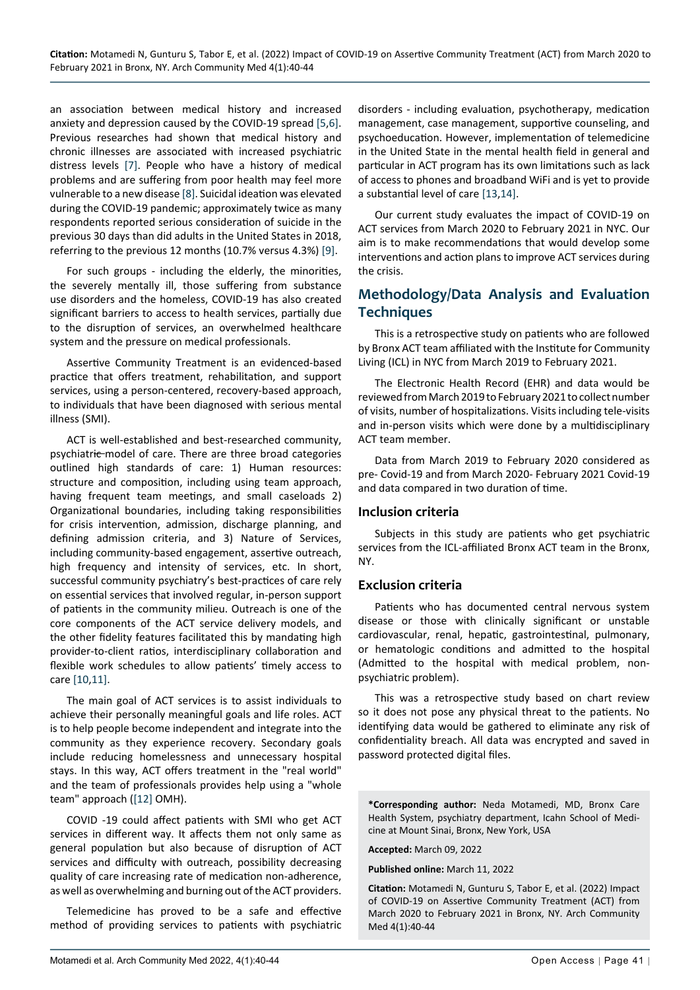an association between medical history and increased anxiety and depression caused by the COVID-19 spread [\[5](#page-4-4),[6\]](#page-4-5). Previous researches had shown that medical history and chronic illnesses are associated with increased psychiatric distress levels [[7](#page-4-6)]. People who have a history of medical problems and are suffering from poor health may feel more vulnerable to a new disease [[8\]](#page-4-7). Suicidal ideation was elevated during the COVID-19 pandemic; approximately twice as many respondents reported serious consideration of suicide in the previous 30 days than did adults in the United States in 2018, referring to the previous 12 months (10.7% versus 4.3%) [[9\]](#page-4-8).

For such groups - including the elderly, the minorities, the severely mentally ill, those suffering from substance use disorders and the homeless, COVID-19 has also created significant barriers to access to health services, partially due to the disruption of services, an overwhelmed healthcare system and the pressure on medical professionals.

Assertive Community Treatment is an evidenced-based practice that offers treatment, rehabilitation, and support services, using a person-centered, recovery-based approach, to individuals that have been diagnosed with serious mental illness (SMI).

ACT is well-established and best-researched community, psychiatric model of care. There are three broad categories outlined high standards of care: 1) Human resources: structure and composition, including using team approach, having frequent team meetings, and small caseloads 2) Organizational boundaries, including taking responsibilities for crisis intervention, admission, discharge planning, and defining admission criteria, and 3) Nature of Services, including community-based engagement, assertive outreach, high frequency and intensity of services, etc. In short, successful community psychiatry's best-practices of care rely on essential services that involved regular, in-person support of patients in the community milieu. Outreach is one of the core components of the ACT service delivery models, and the other fidelity features facilitated this by mandating high provider-to-client ratios, interdisciplinary collaboration and flexible work schedules to allow patients' timely access to care [\[10](#page-4-9),[11](#page-4-10)].

The main goal of ACT services is to assist individuals to achieve their personally meaningful goals and life roles. ACT is to help people become independent and integrate into the community as they experience recovery. Secondary goals include reducing homelessness and unnecessary hospital stays. In this way, ACT offers treatment in the "real world" and the team of professionals provides help using a "whole team" approach ([[12\]](#page-4-11) OMH).

COVID -19 could affect patients with SMI who get ACT services in different way. It affects them not only same as general population but also because of disruption of ACT services and difficulty with outreach, possibility decreasing quality of care increasing rate of medication non-adherence, as well as overwhelming and burning out of the ACT providers.

Telemedicine has proved to be a safe and effective method of providing services to patients with psychiatric disorders - including evaluation, psychotherapy, medication management, case management, supportive counseling, and psychoeducation. However, implementation of telemedicine in the United State in the mental health field in general and particular in ACT program has its own limitations such as lack of access to phones and broadband WiFi and is yet to provide a substantial level of care [\[13](#page-4-12),[14\]](#page-4-13).

Our current study evaluates the impact of COVID-19 on ACT services from March 2020 to February 2021 in NYC. Our aim is to make recommendations that would develop some interventions and action plans to improve ACT services during the crisis.

## **Methodology/Data Analysis and Evaluation Techniques**

This is a retrospective study on patients who are followed by Bronx ACT team affiliated with the Institute for Community Living (ICL) in NYC from March 2019 to February 2021.

The Electronic Health Record (EHR) and data would be reviewed from March 2019 to February 2021 to collect number of visits, number of hospitalizations. Visits including tele-visits and in-person visits which were done by a multidisciplinary ACT team member.

Data from March 2019 to February 2020 considered as pre- Covid-19 and from March 2020- February 2021 Covid-19 and data compared in two duration of time.

#### **Inclusion criteria**

Subjects in this study are patients who get psychiatric services from the ICL-affiliated Bronx ACT team in the Bronx, NY.

#### **Exclusion criteria**

Patients who has documented central nervous system disease or those with clinically significant or unstable cardiovascular, renal, hepatic, gastrointestinal, pulmonary, or hematologic conditions and admitted to the hospital (Admitted to the hospital with medical problem, nonpsychiatric problem).

This was a retrospective study based on chart review so it does not pose any physical threat to the patients. No identifying data would be gathered to eliminate any risk of confidentiality breach. All data was encrypted and saved in password protected digital files.

**\*Corresponding author:** Neda Motamedi, MD, Bronx Care Health System, psychiatry department, Icahn School of Medicine at Mount Sinai, Bronx, New York, USA

**Accepted:** March 09, 2022

**Published online:** March 11, 2022

**Citation:** Motamedi N, Gunturu S, Tabor E, et al. (2022) Impact of COVID-19 on Assertive Community Treatment (ACT) from March 2020 to February 2021 in Bronx, NY. Arch Community Med 4(1):40-44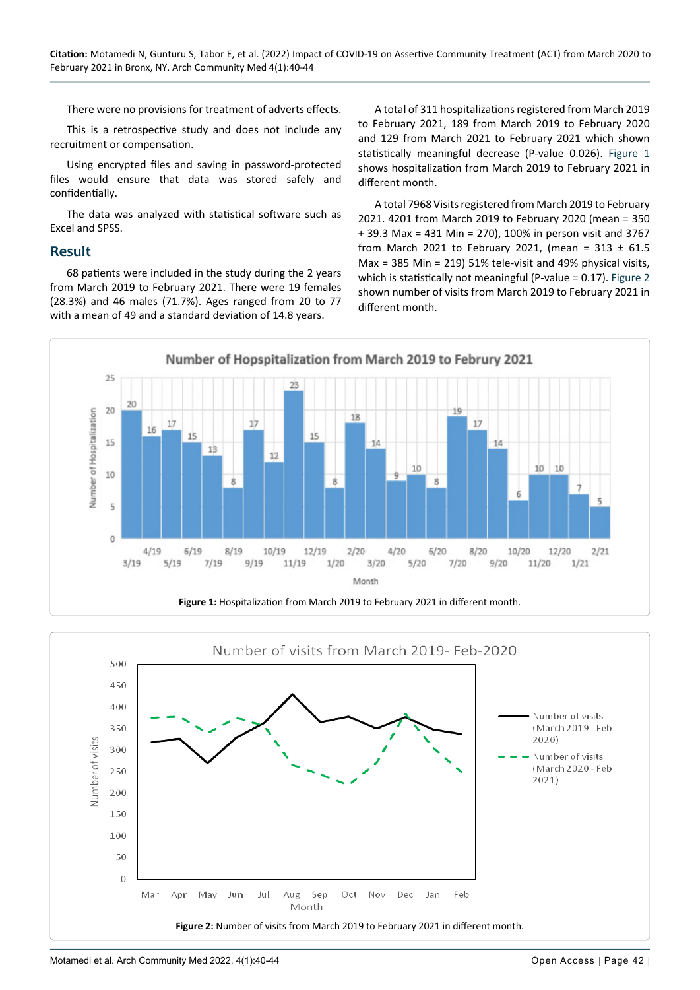There were no provisions for treatment of adverts effects.

This is a retrospective study and does not include any recruitment or compensation.

Using encrypted files and saving in password-protected files would ensure that data was stored safely and confidentially.

The data was analyzed with statistical software such as Excel and SPSS.

#### **Result**

68 patients were included in the study during the 2 years from March 2019 to February 2021. There were 19 females (28.3%) and 46 males (71.7%). Ages ranged from 20 to 77 with a mean of 49 and a standard deviation of 14.8 years.

A total of 311 hospitalizations registered from March 2019 to February 2021, 189 from March 2019 to February 2020 and 129 from March 2021 to February 2021 which shown statistically meaningful decrease (P-value 0.026). [Figure 1](#page-2-0) shows hospitalization from March 2019 to February 2021 in different month.

A total 7968 Visits registered from March 2019 to February 2021. 4201 from March 2019 to February 2020 (mean = 350 + 39.3 Max = 431 Min = 270), 100% in person visit and 3767 from March 2021 to February 2021, (mean = 313  $\pm$  61.5 Max = 385 Min = 219) 51% tele-visit and 49% physical visits, which is statistically not meaningful (P-value = 0.17). [Figure 2](#page-2-1) shown number of visits from March 2019 to February 2021 in different month.

<span id="page-2-0"></span>

<span id="page-2-1"></span>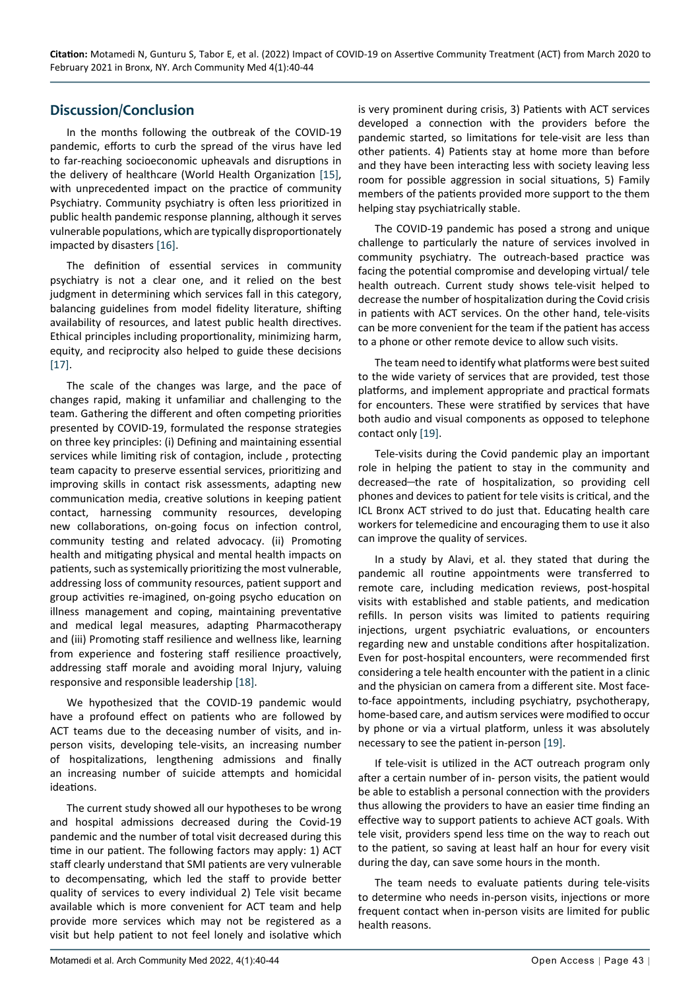## **Discussion/Conclusion**

In the months following the outbreak of the COVID-19 pandemic, efforts to curb the spread of the virus have led to far-reaching socioeconomic upheavals and disruptions in the delivery of healthcare (World Health Organization [[15](#page-4-15)], with unprecedented impact on the practice of community Psychiatry. Community psychiatry is often less prioritized in public health pandemic response planning, although it serves vulnerable populations, which are typically disproportionately impacted by disasters [\[16](#page-4-16)].

The definition of essential services in community psychiatry is not a clear one, and it relied on the best judgment in determining which services fall in this category, balancing guidelines from model fidelity literature, shifting availability of resources, and latest public health directives. Ethical principles including proportionality, minimizing harm, equity, and reciprocity also helped to guide these decisions [[17\]](#page-4-17).

The scale of the changes was large, and the pace of changes rapid, making it unfamiliar and challenging to the team. Gathering the different and often competing priorities presented by COVID-19, formulated the response strategies on three key principles: (i) Defining and maintaining essential services while limiting risk of contagion, include , protecting team capacity to preserve essential services, prioritizing and improving skills in contact risk assessments, adapting new communication media, creative solutions in keeping patient contact, harnessing community resources, developing new collaborations, on‑going focus on infection control, community testing and related advocacy. (ii) Promoting health and mitigating physical and mental health impacts on patients, such as systemically prioritizing the most vulnerable, addressing loss of community resources, patient support and group activities re‑imagined, on‑going psycho education on illness management and coping, maintaining preventative and medical legal measures, adapting Pharmacotherapy and (iii) Promoting staff resilience and wellness like, learning from experience and fostering staff resilience proactively, addressing staff morale and avoiding moral Injury, valuing responsive and responsible leadership [\[18](#page-4-18)].

We hypothesized that the COVID-19 pandemic would have a profound effect on patients who are followed by ACT teams due to the deceasing number of visits, and inperson visits, developing tele-visits, an increasing number of hospitalizations, lengthening admissions and finally an increasing number of suicide attempts and homicidal ideations.

The current study showed all our hypotheses to be wrong and hospital admissions decreased during the Covid-19 pandemic and the number of total visit decreased during this time in our patient. The following factors may apply: 1) ACT staff clearly understand that SMI patients are very vulnerable to decompensating, which led the staff to provide better quality of services to every individual 2) Tele visit became available which is more convenient for ACT team and help provide more services which may not be registered as a visit but help patient to not feel lonely and isolative which is very prominent during crisis, 3) Patients with ACT services developed a connection with the providers before the pandemic started, so limitations for tele-visit are less than other patients. 4) Patients stay at home more than before and they have been interacting less with society leaving less room for possible aggression in social situations, 5) Family members of the patients provided more support to the them helping stay psychiatrically stable.

The COVID-19 pandemic has posed a strong and unique challenge to particularly the nature of services involved in community psychiatry. The outreach-based practice was facing the potential compromise and developing virtual/ tele health outreach. Current study shows tele-visit helped to decrease the number of hospitalization during the Covid crisis in patients with ACT services. On the other hand, tele-visits can be more convenient for the team if the patient has access to a phone or other remote device to allow such visits.

The team need to identify what platforms were best suited to the wide variety of services that are provided, test those platforms, and implement appropriate and practical formats for encounters. These were stratified by services that have both audio and visual components as opposed to telephone contact only [\[19](#page-4-14)].

Tele-visits during the Covid pandemic play an important role in helping the patient to stay in the community and decreased-the rate of hospitalization, so providing cell phones and devices to patient for tele visits is critical, and the ICL Bronx ACT strived to do just that. Educating health care workers for telemedicine and encouraging them to use it also can improve the quality of services.

In a study by Alavi, et al. they stated that during the pandemic all routine appointments were transferred to remote care, including medication reviews, post-hospital visits with established and stable patients, and medication refills. In person visits was limited to patients requiring injections, urgent psychiatric evaluations, or encounters regarding new and unstable conditions after hospitalization. Even for post-hospital encounters, were recommended first considering a tele health encounter with the patient in a clinic and the physician on camera from a different site. Most faceto-face appointments, including psychiatry, psychotherapy, home-based care, and autism services were modified to occur by phone or via a virtual platform, unless it was absolutely necessary to see the patient in-person [\[19\]](#page-4-14).

If tele-visit is utilized in the ACT outreach program only after a certain number of in- person visits, the patient would be able to establish a personal connection with the providers thus allowing the providers to have an easier time finding an effective way to support patients to achieve ACT goals. With tele visit, providers spend less time on the way to reach out to the patient, so saving at least half an hour for every visit during the day, can save some hours in the month.

The team needs to evaluate patients during tele-visits to determine who needs in-person visits, injections or more frequent contact when in-person visits are limited for public health reasons.